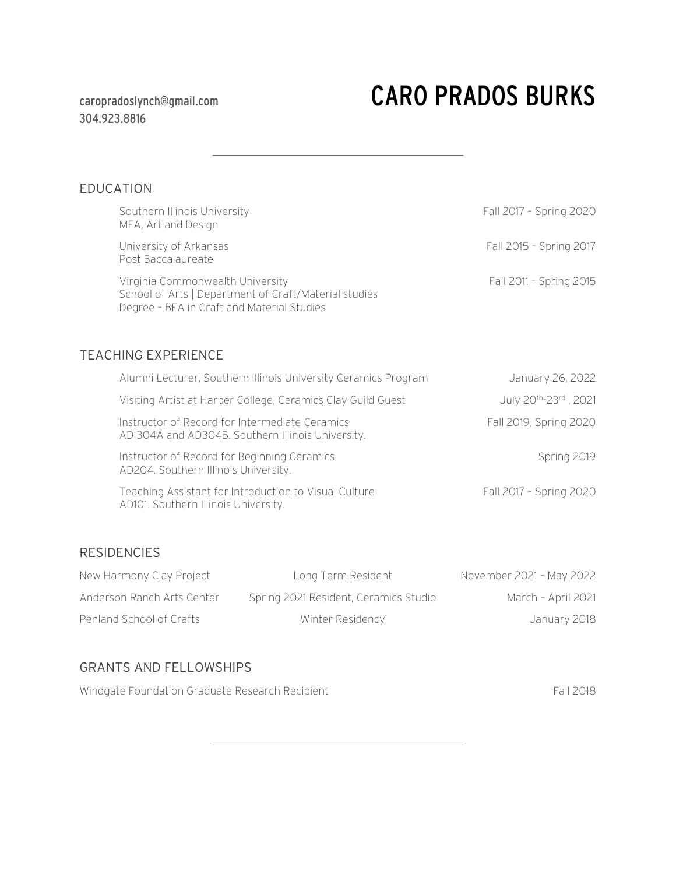## 304.923.8816

# caropradoslynch@gmail.com CARO PRADOS BURKS

## EDUCATION

| Southern Illinois University<br>MFA, Art and Design                                                                                     | Fall 2017 - Spring 2020 |
|-----------------------------------------------------------------------------------------------------------------------------------------|-------------------------|
| University of Arkansas<br>Post Baccalaureate                                                                                            | Fall 2015 - Spring 2017 |
| Virginia Commonwealth University<br>School of Arts   Department of Craft/Material studies<br>Degree - BFA in Craft and Material Studies | Fall 2011 - Spring 2015 |
| <b>TEACHING EXPERIENCE</b>                                                                                                              |                         |
| Alumni Lecturer, Southern Illinois University Ceramics Program                                                                          | January 26, 2022        |
| Visiting Artist at Harper College, Ceramics Clay Guild Guest                                                                            | July 20th-23rd, 2021    |
| Instructor of Record for Intermediate Ceramics<br>AD 304A and AD304B. Southern Illinois University.                                     | Fall 2019, Spring 2020  |
| Instructor of Record for Beginning Ceramics<br>AD204. Southern Illinois University.                                                     | Spring 2019             |
| Teaching Assistant for Introduction to Visual Culture<br>AD101. Southern Illinois University.                                           | Fall 2017 - Spring 2020 |

### RESIDENCIES

| New Harmony Clay Project   | Long Term Resident                    | November 2021 - May 2022 |
|----------------------------|---------------------------------------|--------------------------|
| Anderson Ranch Arts Center | Spring 2021 Resident, Ceramics Studio | March - April 2021       |
| Penland School of Crafts   | Winter Residency                      | January 2018             |

## GRANTS AND FELLOWSHIPS

Windgate Foundation Graduate Research Recipient Fall 2018